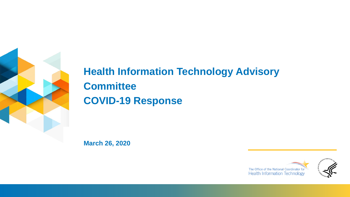

# **Health Information Technology Advisory Committee COVID-19 Response**

**March 26, 2020**



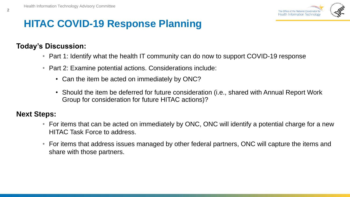

# **HITAC COVID-19 Response Planning**

## **Today's Discussion:**

- Part 1: Identify what the health IT community can do now to support COVID-19 response
- Part 2: Examine potential actions. Considerations include:
	- Can the item be acted on immediately by ONC?
	- Should the item be deferred for future consideration (i.e., shared with Annual Report Work Group for consideration for future HITAC actions)?

#### **Next Steps:**

- For items that can be acted on immediately by ONC, ONC will identify a potential charge for a new HITAC Task Force to address.
- For items that address issues managed by other federal partners, ONC will capture the items and share with those partners.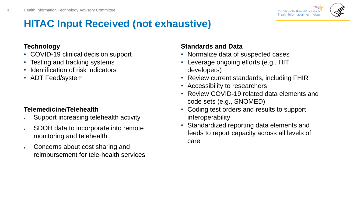

# **HITAC Input Received (not exhaustive)**

#### **Technology**

- COVID-19 clinical decision support
- Testing and tracking systems
- Identification of risk indicators
- ADT Feed/system

## **Telemedicine/Telehealth**

- Support increasing telehealth activity
- SDOH data to incorporate into remote monitoring and telehealth
- Concerns about cost sharing and reimbursement for tele-health services

## **Standards and Data**

- Normalize data of suspected cases
- Leverage ongoing efforts (e.g., HIT developers)
- Review current standards, including FHIR
- Accessibility to researchers
- Review COVID-19 related data elements and code sets (e.g., SNOMED)
- Coding test orders and results to support interoperability
- Standardized reporting data elements and feeds to report capacity across all levels of care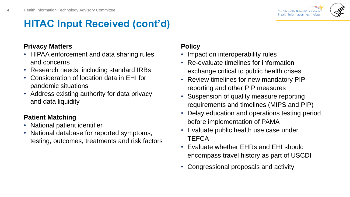

# **HITAC Input Received (cont'd)**

### **Privacy Matters**

- HIPAA enforcement and data sharing rules and concerns
- Research needs, including standard IRBs
- Consideration of location data in EHI for pandemic situations
- Address existing authority for data privacy and data liquidity

## **Patient Matching**

- National patient identifier
- National database for reported symptoms, testing, outcomes, treatments and risk factors

## **Policy**

- Impact on interoperability rules
- Re-evaluate timelines for information exchange critical to public health crises
- Review timelines for new mandatory PIP reporting and other PIP measures
- Suspension of quality measure reporting requirements and timelines (MIPS and PIP)
- Delay education and operations testing period before implementation of PAMA
- Evaluate public health use case under **TEFCA**
- Evaluate whether EHRs and EHI should encompass travel history as part of USCDI
- Congressional proposals and activity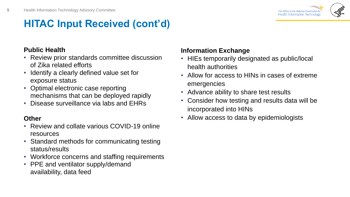

# **HITAC Input Received (cont'd)**

## **Public Health**

- Review prior standards committee discussion of Zika related efforts
- Identify a clearly defined value set for exposure status
- Optimal electronic case reporting mechanisms that can be deployed rapidly
- Disease surveillance via labs and EHRs

## **Other**

- Review and collate various COVID-19 online resources
- Standard methods for communicating testing status/results
- Workforce concerns and staffing requirements
- PPE and ventilator supply/demand availability, data feed

## **Information Exchange**

- HIEs temporarily designated as public/local health authorities
- Allow for access to HINs in cases of extreme emergencies
- Advance ability to share test results
- Consider how testing and results data will be incorporated into HINs
- Allow access to data by epidemiologists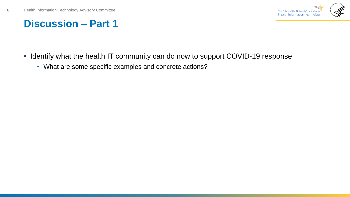**6**



# **Discussion – Part 1**

- Identify what the health IT community can do now to support COVID-19 response
	- What are some specific examples and concrete actions?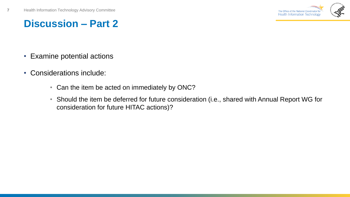**7**



# **Discussion – Part 2**

- Examine potential actions
- Considerations include:
	- Can the item be acted on immediately by ONC?
	- Should the item be deferred for future consideration (i.e., shared with Annual Report WG for consideration for future HITAC actions)?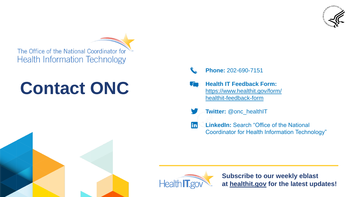

The Office of the National Coordinator for **Health Information Technology** 

# **Contact ONC**

- **Phone:** 202-690-7151
- **Health IT Feedback Form:**  [https://www.healthit.gov/form/](https://www.healthit.gov/form/healthit-feedback-form) healthit-feedback-form
- **Twitter: @onc\_healthIT**
- **LinkedIn:** Search "Office of the National lin. Coordinator for Health Information Technology"



**Subscribe to our weekly eblast at [healthit.gov](http://healthit.gov/) for the latest updates!**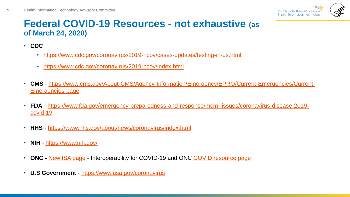

## **Federal COVID-19 Resources - not exhaustive (as of March 24, 2020)**

• **CDC**

**9**

- <https://www.cdc.gov/coronavirus/2019-ncov/cases-updates/testing-in-us.html>
- <https://www.cdc.gov/coronavirus/2019-ncov/index.html>
- **CMS** [https://www.cms.gov/About-CMS/Agency-Information/Emergency/EPRO/Current-Emergencies/Current-](https://www.cms.gov/About-CMS/Agency-Information/Emergency/EPRO/Current-Emergencies/Current-Emergencies-page)Emergencies-page
- **FDA** [https://www.fda.gov/emergency-preparedness-and-response/mcm-](https://www.fda.gov/emergency-preparedness-and-response/mcm-issues/coronavirus-disease-2019-covid-19) issues/coronavirus-disease-2019 covid-19
- **HHS**  <https://www.hhs.gov/about/news/coronavirus/index.html>
- **NIH** <https://www.nih.gov/>
- **ONC -** [New ISA page -](https://www.healthit.gov/isa/covid-19) Interoperability for COVID-19 and ONC [COVID resource page](https://www.healthit.gov/coronavirus)
- **U.S Government**  <https://www.usa.gov/coronavirus>